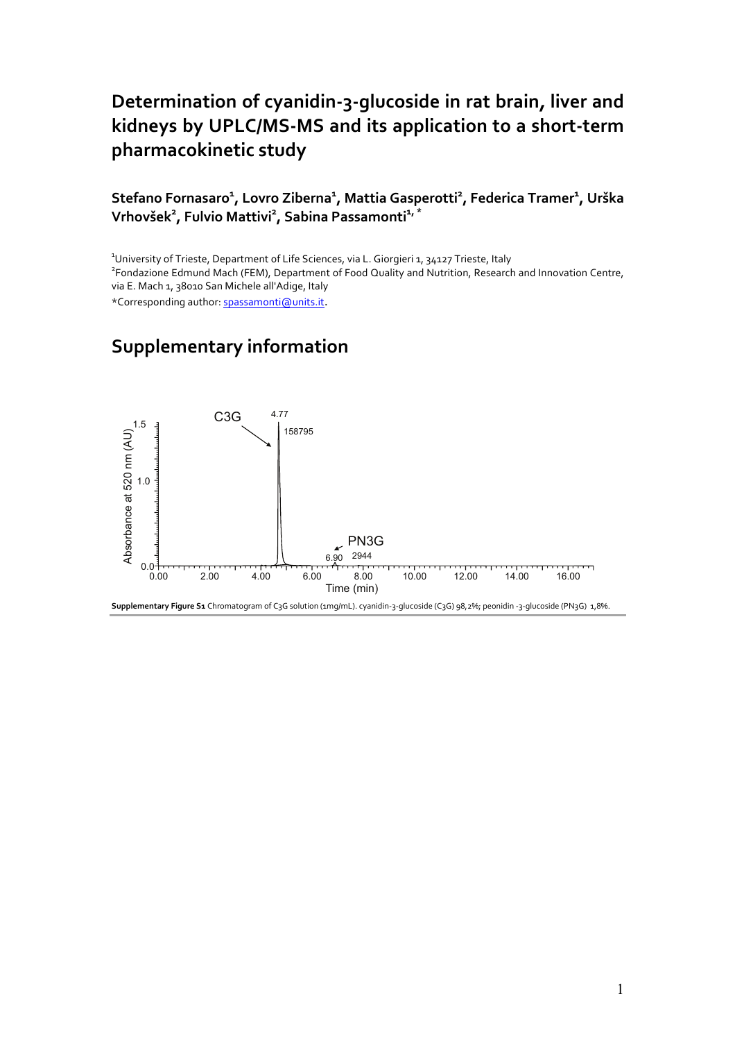## Determination of cyanidin-3-glucoside in rat brain, liver and **kidneys by UPLC/MS-MS and its application to a short-term pharmacokinetic study**

## Stefano Fornasaro<sup>1</sup>, Lovro Ziberna<sup>1</sup>, Mattia Gasperotti<sup>2</sup>, Federica Tramer<sup>1</sup>, Urška  $V$ rhovšek<sup>2</sup>, Fulvio Mattivi<sup>2</sup>, Sabina Passamonti<sup>1, \*</sup>

<sup>1</sup> University of Trieste, Department of Life Sciences, via L. Giorgieri 1, 34127 Trieste, Italy<br><sup>2</sup> Eendariane Edmund Mach (EEM), Department of Eeed Quality and Nutritien, Desearch <sup>2</sup> Fondazione Edmund Mach (FEM), Department of Food Quality and Nutrition, Research and Innovation Centre, via E. Mach 1, 38010 San Michele all'Adige, Italy \*Corresponding author: spassamonti@units.it.

## **Supplementary information**